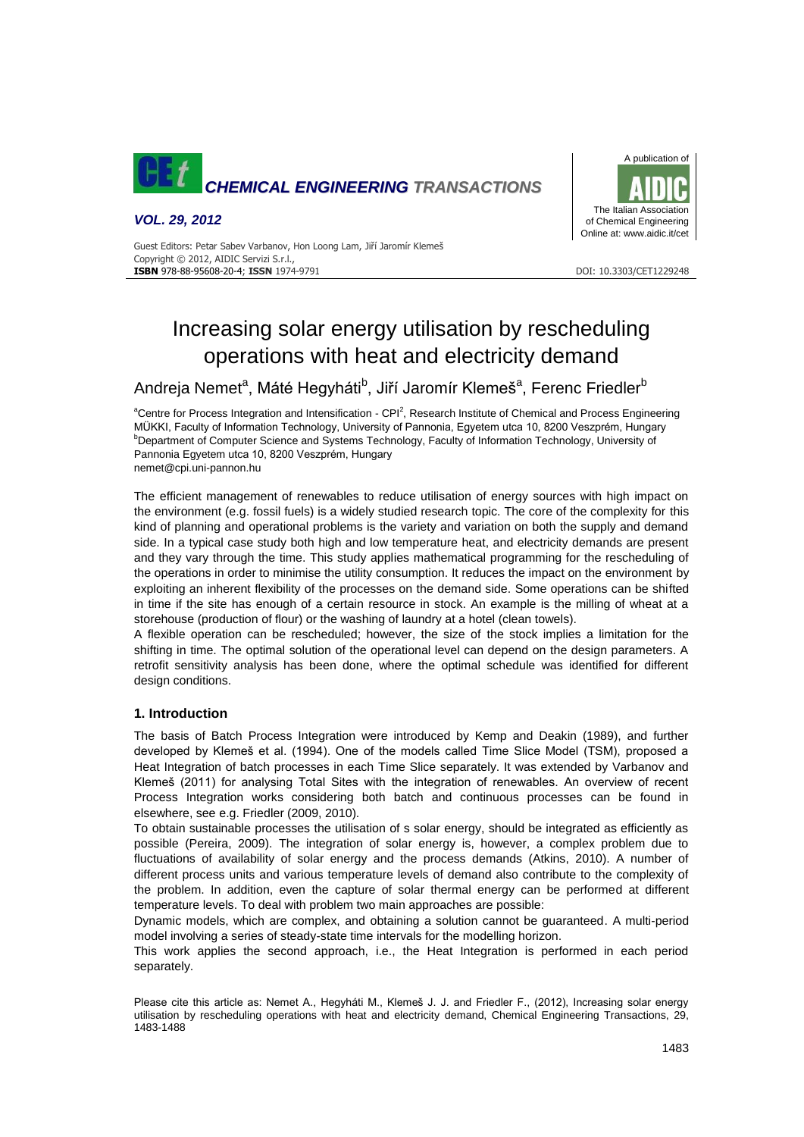

*VOL. 29, 2012*



Guest Editors: Petar Sabev Varbanov, Hon Loong Lam, Jiří Jaromír Klemeš Copyright © 2012, AIDIC Servizi S.r.l., **ISBN** 978-88-95608-20-4; **ISSN** 1974-9791 DOI: 10.3303/CET1229248

# Increasing solar energy utilisation by rescheduling operations with heat and electricity demand

Andreja Nemet<sup>a</sup>, Máté Hegyháti<sup>b</sup>, Jiří Jaromír Klemeš<sup>a</sup>, Ferenc Friedler<sup>b</sup>

<sup>a</sup>Centre for Process Integration and Intensification - CPI<sup>2</sup>, Research Institute of Chemical and Process Engineering MÜKKI, Faculty of Information Technology, University of Pannonia, Egyetem utca 10, 8200 Veszprém, Hungary <sup>b</sup>Department of Computer Science and Systems Technology, Faculty of Information Technology, University of Pannonia Egyetem utca 10, 8200 Veszprém, Hungary

nemet@cpi.uni-pannon.hu

The efficient management of renewables to reduce utilisation of energy sources with high impact on the environment (e.g. fossil fuels) is a widely studied research topic. The core of the complexity for this kind of planning and operational problems is the variety and variation on both the supply and demand side. In a typical case study both high and low temperature heat, and electricity demands are present and they vary through the time. This study applies mathematical programming for the rescheduling of the operations in order to minimise the utility consumption. It reduces the impact on the environment by exploiting an inherent flexibility of the processes on the demand side. Some operations can be shifted in time if the site has enough of a certain resource in stock. An example is the milling of wheat at a storehouse (production of flour) or the washing of laundry at a hotel (clean towels).

A flexible operation can be rescheduled; however, the size of the stock implies a limitation for the shifting in time. The optimal solution of the operational level can depend on the design parameters. A retrofit sensitivity analysis has been done, where the optimal schedule was identified for different design conditions.

# **1. Introduction**

The basis of Batch Process Integration were introduced by Kemp and Deakin (1989), and further developed by Klemeš et al. (1994). One of the models called Time Slice Model (TSM), proposed a Heat Integration of batch processes in each Time Slice separately. It was extended by Varbanov and Klemeš (2011) for analysing Total Sites with the integration of renewables. An overview of recent Process Integration works considering both batch and continuous processes can be found in elsewhere, see e.g. Friedler (2009, 2010).

To obtain sustainable processes the utilisation of s solar energy, should be integrated as efficiently as possible (Pereira, 2009). The integration of solar energy is, however, a complex problem due to fluctuations of availability of solar energy and the process demands (Atkins, 2010). A number of different process units and various temperature levels of demand also contribute to the complexity of the problem. In addition, even the capture of solar thermal energy can be performed at different temperature levels. To deal with problem two main approaches are possible:

Dynamic models, which are complex, and obtaining a solution cannot be guaranteed. A multi-period model involving a series of steady-state time intervals for the modelling horizon.

This work applies the second approach, i.e., the Heat Integration is performed in each period separately.

Please cite this article as: Nemet A., Hegyháti M., Klemeš J. J. and Friedler F., (2012), Increasing solar energy utilisation by rescheduling operations with heat and electricity demand, Chemical Engineering Transactions, 29, 1483-1488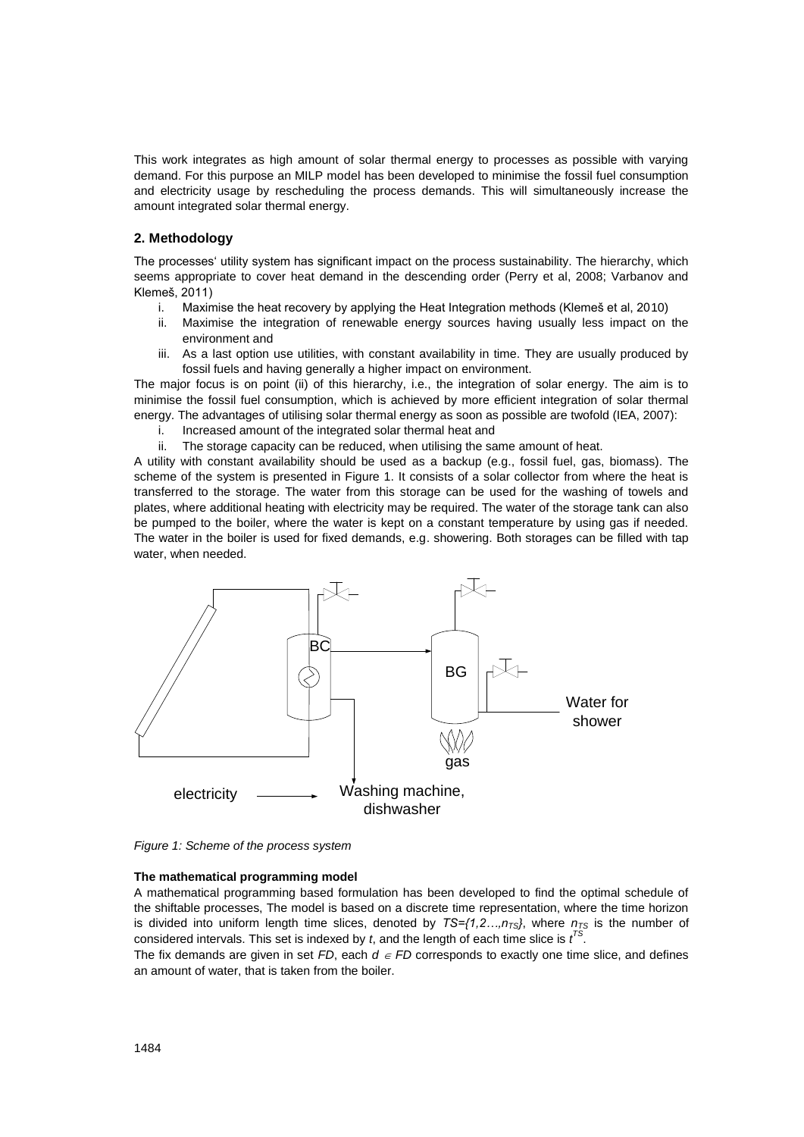This work integrates as high amount of solar thermal energy to processes as possible with varying demand. For this purpose an MILP model has been developed to minimise the fossil fuel consumption and electricity usage by rescheduling the process demands. This will simultaneously increase the amount integrated solar thermal energy.

## **2. Methodology**

The processes' utility system has significant impact on the process sustainability. The hierarchy, which seems appropriate to cover heat demand in the descending order (Perry et al, 2008; Varbanov and Klemeš, 2011)

- i. Maximise the heat recovery by applying the Heat Integration methods (Klemeš et al, 2010)
- ii. Maximise the integration of renewable energy sources having usually less impact on the environment and
- iii. As a last option use utilities, with constant availability in time. They are usually produced by fossil fuels and having generally a higher impact on environment.

The major focus is on point (ii) of this hierarchy, i.e., the integration of solar energy. The aim is to minimise the fossil fuel consumption, which is achieved by more efficient integration of solar thermal energy. The advantages of utilising solar thermal energy as soon as possible are twofold (IEA, 2007):

- i. Increased amount of the integrated solar thermal heat and
- ii. The storage capacity can be reduced, when utilising the same amount of heat.

A utility with constant availability should be used as a backup (e.g., fossil fuel, gas, biomass). The scheme of the system is presented in Figure 1. It consists of a solar collector from where the heat is transferred to the storage. The water from this storage can be used for the washing of towels and plates, where additional heating with electricity may be required. The water of the storage tank can also be pumped to the boiler, where the water is kept on a constant temperature by using gas if needed. The water in the boiler is used for fixed demands, e.g. showering. Both storages can be filled with tap water, when needed.



*Figure 1: Scheme of the process system*

#### **The mathematical programming model**

A mathematical programming based formulation has been developed to find the optimal schedule of the shiftable processes, The model is based on a discrete time representation, where the time horizon is divided into uniform length time slices, denoted by  $TS=f(1,2...,n_{TS})$ , where  $n_{TS}$  is the number of considered intervals. This set is indexed by *t*, and the length of each time slice is *t TS* .

The fix demands are given in set *FD*, each  $d \in FD$  corresponds to exactly one time slice, and defines an amount of water, that is taken from the boiler.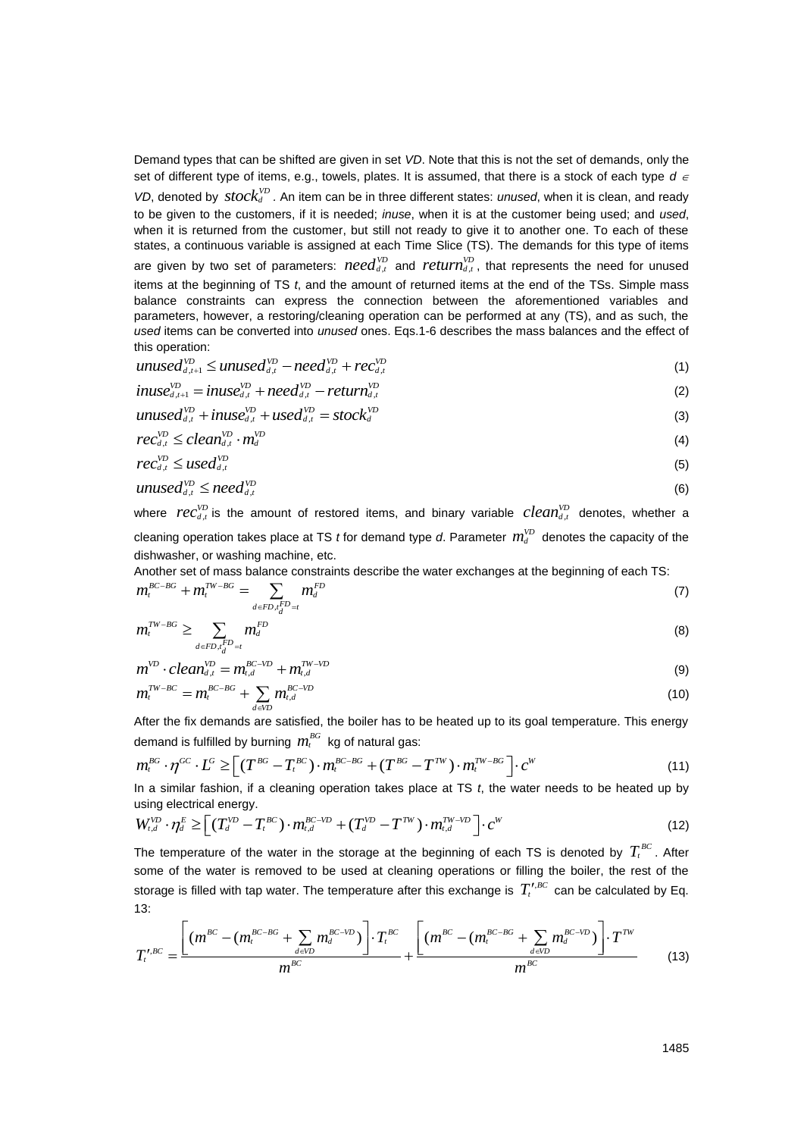Demand types that can be shifted are given in set *VD*. Note that this is not the set of demands, only the set of different type of items, e.g., towels, plates. It is assumed, that there is a stock of each type  $d \in$ *VD*, denoted by *stock*<sup>*VD*</sup> *.* An item can be in three different states: *unused*, when it is clean, and ready to be given to the customers, if it is needed; *inuse*, when it is at the customer being used; and *used*, when it is returned from the customer, but still not ready to give it to another one. To each of these states, a continuous variable is assigned at each Time Slice (TS). The demands for this type of items are given by two set of parameters:  $\mathit{need}_{d,t}^{VD}$  and  $\mathit{return}_{d,t}^{VD}$ , that represents the need for unused items at the beginning of TS *t*, and the amount of returned items at the end of the TSs. Simple mass balance constraints can express the connection between the aforementioned variables and parameters, however, a restoring/cleaning operation can be performed at any (TS), and as such, the *used* items can be converted into *unused* ones. Eqs.1-6 describes the mass balances and the effect of this operation:

$$
unused_{d,t+1}^{VD} \le unused_{d,t}^{VD} - need_{d,t}^{VD} + rec_{d,t}^{VD}
$$
\n
$$
(1)
$$

$$
unused_{d,t+1}^{VD} \leq unused_{d,t}^{VD} - need_{d,t}^{VD} + rec_{d,t}^{VD}
$$
  
\n
$$
inuse_{d,t+1}^{VD} = inuse_{d,t}^{VD} + need_{d,t}^{VD} - return_{d,t}^{VD}
$$
\n(2)

$$
inuse_{d,t+1}^{VD} = inuse_{d,t}^{VD} + need_{d,t}^{VD} - return_{d,t}^{VD}
$$
  
\n
$$
unused_{d,t}^{VD} + inuse_{d,t}^{VD} + used_{d,t}^{VD} = stock_d^{VD}
$$
\n(3)

$$
rec_{d,t}^{\text{VD}} \leq clean_{d,t}^{\text{VD}} \cdot m_d^{\text{VD}} \tag{4}
$$

$$
rec_{d,t}^{\text{VD}} \le used_{d,t}^{\text{VD}} \tag{5}
$$

$$
unused_{d,t}^{\text{VD}} \leq need_{d,t}^{\text{VD}} \tag{6}
$$

where  $rec_{d,t}^{\nu D}$  is the amount of restored items, and binary variable  $clean_{d,t}^{\nu D}$  denotes, whether a cleaning operation takes place at TS *t* for demand type *d*. Parameter  $m_d^{\nu_D}$  denotes the capacity of the dishwasher, or washing machine, etc.

Another set of mass balance constraints describe the water exchanges at the beginning of each TS:  
\n
$$
m_t^{BC-BG} + m_t^{TW-BG} = \sum_{d \in FD, t_d^{FD}=t} m_d^{FD}
$$
\n(7)

$$
m_i^{TW-BG} \ge \sum_{d \in FD, t_d^{FD}=t} m_d^{FD} \tag{8}
$$

$$
m^{VD} \cdot clean_{d,t}^{VD} = m_{t,d}^{BC-VD} + m_{t,d}^{TW-VD}
$$
\n(9)

$$
m_i^{TW-BC} = m_i^{BC-BG} + \sum_{d \in \text{VD}} m_{i,d}^{BC-VD} \tag{10}
$$

demand is fulfilled by burning  $\,m_t^{\scriptscriptstyle BG}\,$  kg of natural gas:

After the fix demands are satisfied, the boiler has to be heated up to its goal temperature. This energy demand is fulfilled by burning 
$$
m_t^{BG}
$$
 kg of natural gas:  
\n
$$
m_t^{BG} \cdot \eta^{GC} \cdot L^G \ge \left[ (T^{BG} - T_t^{BC}) \cdot m_t^{BC-BG} + (T^{BG} - T^{TW}) \cdot m_t^{TW-BG} \right] \cdot c^W
$$
\n(11)

using electrical energy.

In a similar fashion, if a cleaning operation takes place at TS *t*, the water needs to be heated up by using electrical energy.  
\n
$$
W_{t,d}^{VD} \cdot \eta_d^E \ge \left[ (T_d^{VD} - T_t^{BC}) \cdot m_{t,d}^{BC-VD} + (T_d^{VD} - T_{t}^{TW}) \cdot m_{t,d}^{TW-VD} \right] \cdot c^W
$$
\n(12)

The temperature of the water in the storage at the beginning of each TS is denoted by  $T_t^{\scriptscriptstyle BC}$ . After some of the water is removed to be used at cleaning operations or filling the boiler, the rest of the storage is filled with tap water. The temperature after this exchange is  $T'^{,BC}_t$  can be calculated by Eq. 13: the water is removed to be used at cleaning operations or filling the boiler, the rest of the<br>
s filled with tap water. The temperature after this exchange is  $T_t^{r,BC}$  can be calculated by Eq.<br>  $\left[ (m^{BC} - (m_t^{BC-BG} + \sum_{d \in V$ 

13:

\n
$$
T_t^{r, BC} = \frac{\left[ \left( m^{BC} - \left( m_t^{BC-EG} + \sum_{d \in VD} m_d^{BC-VD} \right) \right] \cdot T_t^{BC} \right] \cdot T_t^{BC}}{m^{BC}} + \frac{\left[ \left( m^{BC} - \left( m_t^{BC-BG} + \sum_{d \in VD} m_d^{BC-VD} \right) \right] \cdot T^{TW}}{m^{BC}} \right] \cdot T_t^{TC}}{m^{BC}} \tag{13}
$$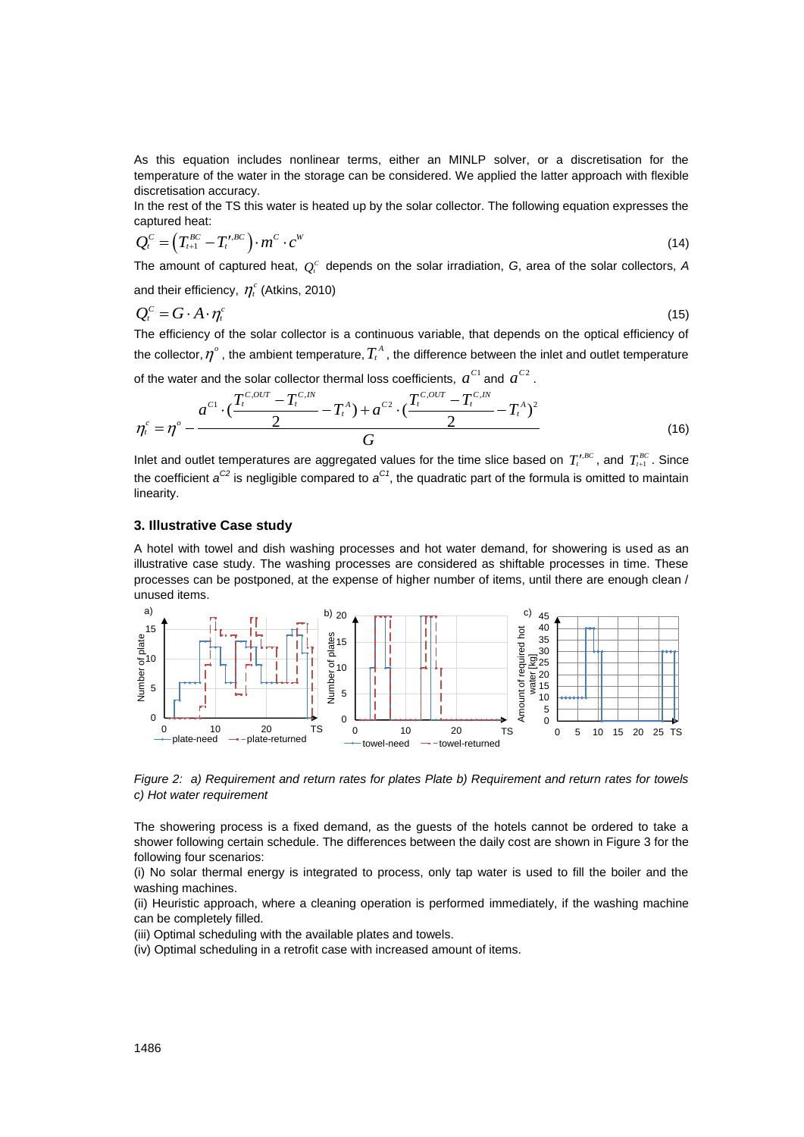As this equation includes nonlinear terms, either an MINLP solver, or a discretisation for the temperature of the water in the storage can be considered. We applied the latter approach with flexible discretisation accuracy.

In the rest of the TS this water is heated up by the solar collector. The following equation expresses the captured heat:

capifferential heat.  
\n
$$
Q_t^c = (T_{t+1}^{BC} - T_t^{t,BC}) \cdot m^C \cdot c^W
$$
\n(14)

The amount of captured heat,  $Q_i^C$  depends on the solar irradiation,  $G$ , area of the solar collectors,  $A$ 

and their efficiency,  $\eta_t^c$  (Atkins, 2010)

$$
Q_t^c = G \cdot A \cdot \eta_t^c \tag{15}
$$

The efficiency of the solar collector is a continuous variable, that depends on the optical efficiency of the collector,  $\eta^{\circ}$  , the ambient temperature,  $T_{\iota}^A$  , the difference between the inlet and outlet temperature

of the water and the solar collector thermal loss coefficients,  $a^{C1}$  and  $a^{C2}$ .<br> $a^{C2} = a^{C,OUT} - T^{C,N}$ 

the collector, 
$$
\eta^{\circ}
$$
, the ambient temperature,  $T_t^A$ , the difference between the inlet and outlet temperature  
of the water and the solar collector thermal loss coefficients,  $a^{C1}$  and  $a^{C2}$ .  

$$
\eta_t^c = \eta^{\circ} - \frac{a^{C1} \cdot (\frac{T_t^{C,OUT} - T_t^{C,IN}}{2} - T_t^A) + a^{C2} \cdot (\frac{T_t^{C,OUT} - T_t^{C,IN}}{2} - T_t^A)^2}{G}
$$
(16)

Inlet and outlet temperatures are aggregated values for the time slice based on  $T_t^{t,BC}$ , and  $T_{t+1}^{BC}$ . Since the coefficient *a C2* is negligible compared to *a C1*, the quadratic part of the formula is omitted to maintain linearity.

# **3. Illustrative Case study**

A hotel with towel and dish washing processes and hot water demand, for showering is used as an illustrative case study. The washing processes are considered as shiftable processes in time. These processes can be postponed, at the expense of higher number of items, until there are enough clean / unused items.



*Figure 2: a) Requirement and return rates for plates Plate b) Requirement and return rates for towels c) Hot water requirement* 

The showering process is a fixed demand, as the guests of the hotels cannot be ordered to take a shower following certain schedule. The differences between the daily cost are shown in Figure 3 for the following four scenarios:

(i) No solar thermal energy is integrated to process, only tap water is used to fill the boiler and the washing machines.

(ii) Heuristic approach, where a cleaning operation is performed immediately, if the washing machine can be completely filled.

(iii) Optimal scheduling with the available plates and towels.

(iv) Optimal scheduling in a retrofit case with increased amount of items.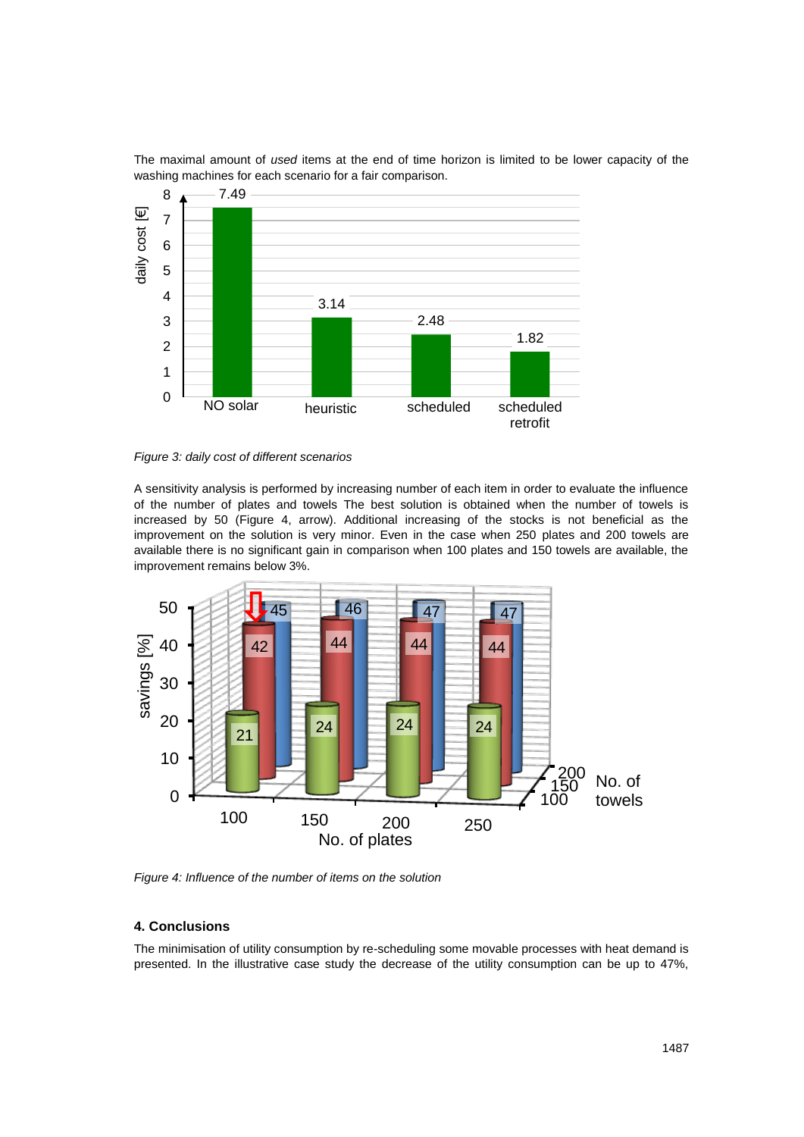

The maximal amount of *used* items at the end of time horizon is limited to be lower capacity of the washing machines for each scenario for a fair comparison.

*Figure 3: daily cost of different scenarios*

A sensitivity analysis is performed by increasing number of each item in order to evaluate the influence of the number of plates and towels The best solution is obtained when the number of towels is increased by 50 (Figure 4, arrow). Additional increasing of the stocks is not beneficial as the improvement on the solution is very minor. Even in the case when 250 plates and 200 towels are available there is no significant gain in comparison when 100 plates and 150 towels are available, the improvement remains below 3%.



*Figure 4: Influence of the number of items on the solution*

# **4. Conclusions**

The minimisation of utility consumption by re-scheduling some movable processes with heat demand is presented. In the illustrative case study the decrease of the utility consumption can be up to 47%,